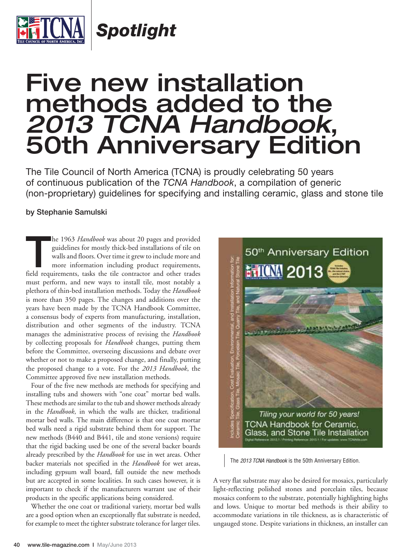

*Spotlight*

## Five new installation methods added to the *2013 TCNA Handbook*, 50th Anniversary Edition

The Tile Council of North America (TCNA) is proudly celebrating 50 years of continuous publication of the *TCNA Handbook*, a compilation of generic (non-proprietary) guidelines for specifying and installing ceramic, glass and stone tile

## **by Stephanie Samulski**

**THE 1963** *Handbook* was about 20 pages and provided guidelines for mostly thick-bed installations of tile on walls and floors. Over time it grew to include more and more information including product requirements, field guidelines for mostly thick-bed installations of tile on walls and floors. Over time it grew to include more and more information including product requirements, must perform, and new ways to install tile, most notably a plethora of thin-bed installation methods. Today the *Handbook* is more than 350 pages. The changes and additions over the years have been made by the TCNA Handbook Committee, a consensus body of experts from manufacturing, installation, distribution and other segments of the industry. TCNA manages the administrative process of revising the *Handbook* by collecting proposals for *Handbook* changes, putting them before the Committee, overseeing discussions and debate over whether or not to make a proposed change, and finally, putting the proposed change to a vote. For the *2013 Handbook*, the Committee approved five new installation methods.

Four of the five new methods are methods for specifying and installing tubs and showers with "one coat" mortar bed walls. These methods are similar to the tub and shower methods already in the *Handbook*, in which the walls are thicker, traditional mortar bed walls. The main difference is that one coat mortar bed walls need a rigid substrate behind them for support. The new methods (B440 and B441, tile and stone versions) require that the rigid backing used be one of the several backer boards already prescribed by the *Handbook* for use in wet areas. Other backer materials not specified in the *Handbook* for wet areas, including gypsum wall board, fall outside the new methods but are accepted in some localities. In such cases however, it is important to check if the manufacturers warrant use of their products in the specific applications being considered.

Whether the one coat or traditional variety, mortar bed walls are a good option when an exceptionally flat substrate is needed, for example to meet the tighter substrate tolerance for larger tiles.



The *2013 TCNA Handbook* is the 50th Anniversary Edition.

A very flat substrate may also be desired for mosaics, particularly light-reflecting polished stones and porcelain tiles, because mosaics conform to the substrate, potentially highlighting highs and lows. Unique to mortar bed methods is their ability to accommodate variations in tile thickness, as is characteristic of ungauged stone. Despite variations in thickness, an installer can